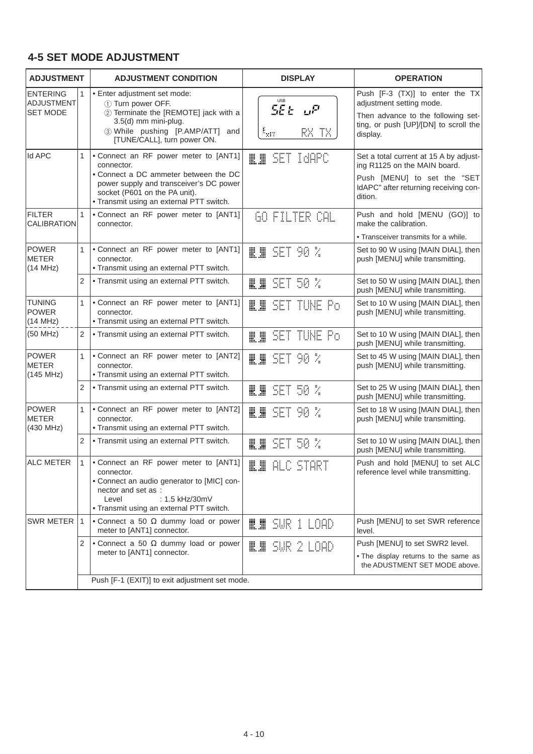## **4-5 SET MODE ADJUSTMENT**

| <b>ADJUSTMENT</b>                                |                | <b>ADJUSTMENT CONDITION</b>                                                                                                                                                                                          | <b>DISPLAY</b>                     | <b>OPERATION</b>                                                                                                                                          |
|--------------------------------------------------|----------------|----------------------------------------------------------------------------------------------------------------------------------------------------------------------------------------------------------------------|------------------------------------|-----------------------------------------------------------------------------------------------------------------------------------------------------------|
| <b>ENTERING</b><br>ADJUSTMENT<br><b>SET MODE</b> |                | • Enter adjustment set mode:<br>1) Turn power OFF.<br>2 Terminate the [REMOTE] jack with a<br>3.5(d) mm mini-plug.<br>3 While pushing [P.AMP/ATT] and<br>[TUNE/CALL], turn power ON.                                 | 5E E LIP<br>$\frac{1}{2}$<br>RX TX | Push [F-3 (TX)] to enter the TX<br>adjustment setting mode.<br>Then advance to the following set-<br>ting, or push [UP]/[DN] to scroll the<br>display.    |
| <b>Id APC</b>                                    |                | • Connect an RF power meter to [ANT1]<br>connector.<br>• Connect a DC ammeter between the DC<br>power supply and transceiver's DC power<br>socket (P601 on the PA unit).<br>• Transmit using an external PTT switch. | SET IdAPC<br>M. M                  | Set a total current at 15 A by adjust-<br>ing R1125 on the MAIN board.<br>Push [MENU] to set the "SET<br>IdAPC" after returning receiving con-<br>dition. |
| <b>FILTER</b><br><b>CALIBRATION</b>              |                | • Connect an RF power meter to [ANT1]<br>connector.                                                                                                                                                                  | 60 FILTER CAL                      | Push and hold [MENU (GO)] to<br>make the calibration.<br>• Transceiver transmits for a while.                                                             |
| <b>POWER</b><br><b>METER</b><br>(14 MHz)         | $\mathbf{1}$   | • Connect an RF power meter to [ANT1]<br>connector.<br>• Transmit using an external PTT switch.                                                                                                                      | $\blacksquare$ in Set 90 %         | Set to 90 W using [MAIN DIAL], then<br>push [MENU] while transmitting.                                                                                    |
|                                                  | $\overline{2}$ | • Transmit using an external PTT switch.                                                                                                                                                                             | SET 50 %<br>∭.∭                    | Set to 50 W using [MAIN DIAL], then<br>push [MENU] while transmitting.                                                                                    |
| <b>TUNING</b><br><b>POWER</b><br>(14 MHz)        | $\mathbf{1}$   | • Connect an RF power meter to [ANT1]<br>connector.<br>• Transmit using an external PTT switch.                                                                                                                      | ILII SET TUNE Po                   | Set to 10 W using [MAIN DIAL], then<br>push [MENU] while transmitting.                                                                                    |
| (50 MHz)                                         | $\overline{2}$ | • Transmit using an external PTT switch.                                                                                                                                                                             | SET TUNE Po<br>₩. ₩                | Set to 10 W using [MAIN DIAL], then<br>push [MENU] while transmitting.                                                                                    |
| <b>POWER</b><br><b>METER</b><br>(145 MHz)        | $\mathbf{1}$   | • Connect an RF power meter to [ANT2]<br>connector.<br>• Transmit using an external PTT switch.                                                                                                                      | ₩.₩<br>-90 X<br>SET.               | Set to 45 W using [MAIN DIAL], then<br>push [MENU] while transmitting.                                                                                    |
|                                                  | $\overline{2}$ | • Transmit using an external PTT switch.                                                                                                                                                                             | SET 50 %<br>₩.₩                    | Set to 25 W using [MAIN DIAL], then<br>push [MENU] while transmitting.                                                                                    |
| <b>POWER</b><br>METER<br>(430 MHz)               |                | • Connect an RF power meter to [ANT2]<br>connector.<br>• Transmit using an external PTT switch.                                                                                                                      | ∭.∭<br>90 Z<br>SET                 | Set to 18 W using [MAIN DIAL], then<br>push [MENU] while transmitting.                                                                                    |
|                                                  | $\overline{2}$ | • Transmit using an external PTT switch.                                                                                                                                                                             | SET<br>50 X<br>∭.∭                 | Set to 10 W using [MAIN DIAL], then<br>push [MENU] while transmitting.                                                                                    |
| <b>ALC METER</b>                                 |                | • Connect an RF power meter to [ANT1]<br>connector.<br>• Connect an audio generator to [MIC] con-<br>nector and set as :<br>: 1.5 kHz/30mV<br>Level<br>• Transmit using an external PTT switch.                      | <b>ILI</b> ALC START               | Push and hold [MENU] to set ALC<br>reference level while transmitting.                                                                                    |
| <b>SWR METER</b>                                 |                | $\bullet$ Connect a 50 $\Omega$ dummy load or power<br>meter to [ANT1] connector.                                                                                                                                    | ILI SUR 1 LOAD                     | Push [MENU] to set SWR reference<br>level.                                                                                                                |
|                                                  | $\overline{2}$ | • Connect a 50 $\Omega$ dummy load or power<br>meter to [ANT1] connector.                                                                                                                                            | W SUR 2 LOAD                       | Push [MENU] to set SWR2 level.                                                                                                                            |
|                                                  |                |                                                                                                                                                                                                                      |                                    | . The display returns to the same as<br>the ADUSTMENT SET MODE above.                                                                                     |
|                                                  |                | Push [F-1 (EXIT)] to exit adjustment set mode.                                                                                                                                                                       |                                    |                                                                                                                                                           |